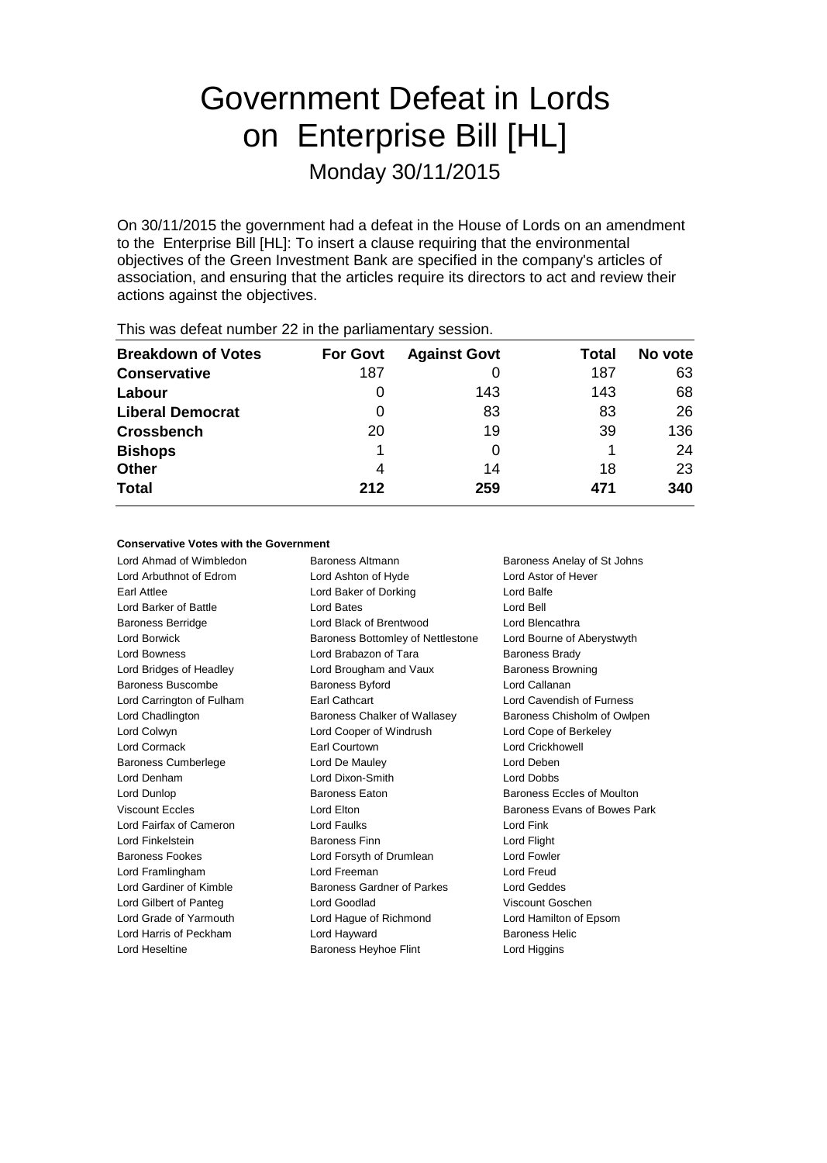# Government Defeat in Lords on Enterprise Bill [HL] Monday 30/11/2015

On 30/11/2015 the government had a defeat in the House of Lords on an amendment to the Enterprise Bill [HL]: To insert a clause requiring that the environmental objectives of the Green Investment Bank are specified in the company's articles of association, and ensuring that the articles require its directors to act and review their actions against the objectives.

| <b>Breakdown of Votes</b> | <b>For Govt</b> | <b>Against Govt</b> | Total | No vote |
|---------------------------|-----------------|---------------------|-------|---------|
| <b>Conservative</b>       | 187             |                     | 187   | 63      |
| Labour                    | O               | 143                 | 143   | 68      |
| <b>Liberal Democrat</b>   | 0               | 83                  | 83    | 26      |
| <b>Crossbench</b>         | 20              | 19                  | 39    | 136     |
| <b>Bishops</b>            |                 | 0                   |       | 24      |
| <b>Other</b>              | 4               | 14                  | 18    | 23      |
| <b>Total</b>              | 212             | 259                 | 471   | 340     |
|                           |                 |                     |       |         |

This was defeat number 22 in the parliamentary session.

#### **Conservative Votes with the Government**

Lord Ahmad of Wimbledon **Baroness Altmann** Baroness Anelay of St Johns

Lord Arbuthnot of Edrom Lord Ashton of Hyde Lord Astor of Hever Earl Attlee **Lord Baker of Dorking Lord Balfe** Lord Barker of Battle Lord Bates Lord Bell Baroness Berridge Lord Black of Brentwood Lord Blencathra Lord Borwick **Baroness Bottomley of Nettlestone** Lord Bourne of Aberystwyth Lord Bowness **Lord Brabazon of Tara** Baroness Brady Lord Bridges of Headley **Lord Brougham and Vaux** Baroness Browning Baroness Buscombe Baroness Byford Baroness Buscombe Baroness Byford Lord Callanan Lord Carrington of Fulham Earl Cathcart Lord Cavendish of Furness Lord Chadlington **Baroness Chalker of Wallasey** Baroness Chisholm of Owlpen Lord Colwyn Lord Cooper of Windrush Lord Cope of Berkeley Lord Cormack Earl Courtown Lord Crickhowell Baroness Cumberlege Lord De Mauley Lord Deben Lord Denham Lord Dixon-Smith Lord Dobbs Lord Dunlop Baroness Eaton Baroness Eccles of Moulton Viscount Eccles **Lord Elton** Lord Elton Baroness Evans of Bowes Park Lord Fairfax of Cameron Lord Faulks Lord Faults Lord Fink Lord Finkelstein Baroness Finn Lord Flight Baroness Fookes Lord Forsyth of Drumlean Lord Fowler Lord Framlingham Lord Freeman Lord Freud Lord Gardiner of Kimble **Baroness Gardner of Parkes** Lord Geddes Lord Gilbert of Panteg Lord Goodlad Viscount Goschen Lord Grade of Yarmouth Lord Hague of Richmond Lord Hamilton of Epsom Lord Harris of Peckham Lord Hayward Baroness Helic Lord Heseltine Baroness Heyhoe Flint Lord Higgins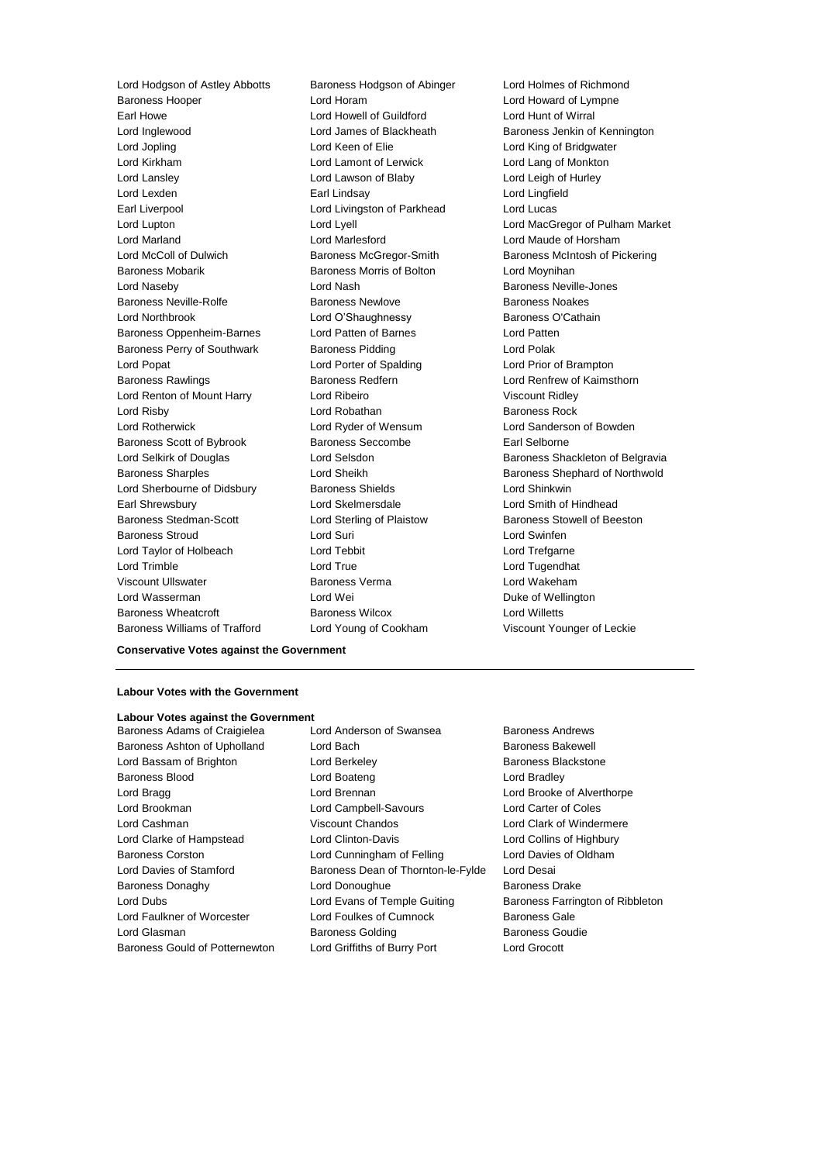Lord Hodgson of Astley Abbotts Baroness Hodgson of Abinger Lord Holmes of Richmond Baroness Hooper Lord Horam Lord Howard of Lympne Earl Howe Lord Howell of Guildford Lord Hunt of Wirral Lord Inglewood Lord James of Blackheath Baroness Jenkin of Kennington Lord Jopling Lord Keen of Elie Lord King of Bridgwater Lord Kirkham Lord Lamont of Lerwick Lord Lang of Monkton Lord Lansley Lord Lawson of Blaby Lord Leigh of Hurley Lord Lexden Earl Lindsay Lord Lingfield Earl Liverpool **Lord Livingston of Parkhead** Lord Lucas Lord Marland Lord Marlesford Lord Maude of Horsham Lord McColl of Dulwich Baroness McGregor-Smith Baroness McIntosh of Pickering Baroness Mobarik **Baroness Morris of Bolton** Lord Moynihan Lord Naseby **Lord Nash Baroness Neville-Jones** Lord Nash Baroness Neville-Jones Baroness Neville-Rolfe Baroness Newlove Baroness Noakes Lord Northbrook Lord O'Shaughnessy Baroness O'Cathain Baroness Oppenheim-Barnes Lord Patten of Barnes Lord Patten Baroness Perry of Southwark Baroness Pidding Lord Polak Lord Popat Lord Porter of Spalding Lord Prior of Brampton Baroness Rawlings **Baroness Redfern Baroness Redfern Lord Renfrew of Kaimsthorn** Lord Renton of Mount Harry Lord Ribeiro **Viscount Ridley** Lord Risby **Lord Robathan** Baroness Rock **Lord Robathan** Baroness Rock Lord Rotherwick Lord Ryder of Wensum Lord Sanderson of Bowden Baroness Scott of Bybrook Baroness Seccombe Earl Selborne Lord Selkirk of Douglas Lord Selsdon Baroness Shackleton of Belgravia Baroness Sharples **Lord Sheikh** Baroness Shephard of Northwold Lord Sherbourne of Didsbury Baroness Shields Lord Shinkwin Earl Shrewsbury Lord Skelmersdale Lord Smith of Hindhead Baroness Stedman-Scott Lord Sterling of Plaistow Baroness Stowell of Beeston Baroness Stroud Lord Suri Lord Swinfen Lord Taylor of Holbeach Lord Tebbit Lord Trefgarne Lord Trimble Lord True Lord Tugendhat Viscount Ullswater Baroness Verma Lord Wakeham Lord Wasserman **Lord Wei** Duke of Wellington Baroness Wheatcroft Baroness Wilcox Lord Willetts

Lord Lupton Lord Lyell Lord MacGregor of Pulham Market Baroness Williams of Trafford Lord Young of Cookham Viscount Younger of Leckie

**Conservative Votes against the Government**

### **Labour Votes with the Government**

### **Labour Votes against the Government**

Baroness Adams of Craigielea Lord Anderson of Swansea Baroness Andrews Baroness Ashton of Upholland Lord Bach Baroness Bakewell Baroness Bakewell Lord Bassam of Brighton **Lord Berkeley Baroness Blackstone** Baroness Blood **Lord Boateng** Lord Bradley Lord Bragg Lord Brennan Lord Brooke of Alverthorpe Lord Brookman Lord Campbell-Savours Lord Carter of Coles Lord Cashman Viscount Chandos Lord Clark of Windermere Lord Clarke of Hampstead Lord Clinton-Davis Lord Collins of Highbury Baroness Corston Lord Cunningham of Felling Lord Davies of Oldham Lord Davies of Stamford **Baroness Dean of Thornton-le-Fylde** Lord Desai Baroness Donaghy **Lord Donoughue** Baroness Drake Lord Dubs **Lord Evans of Temple Guiting Baroness Farrington of Ribbleton** Lord Faulkner of Worcester Lord Foulkes of Cumnock Baroness Gale Lord Glasman **Baroness Golding** Baroness Goudie Baroness Gould of Potternewton Lord Griffiths of Burry Port Lord Grocott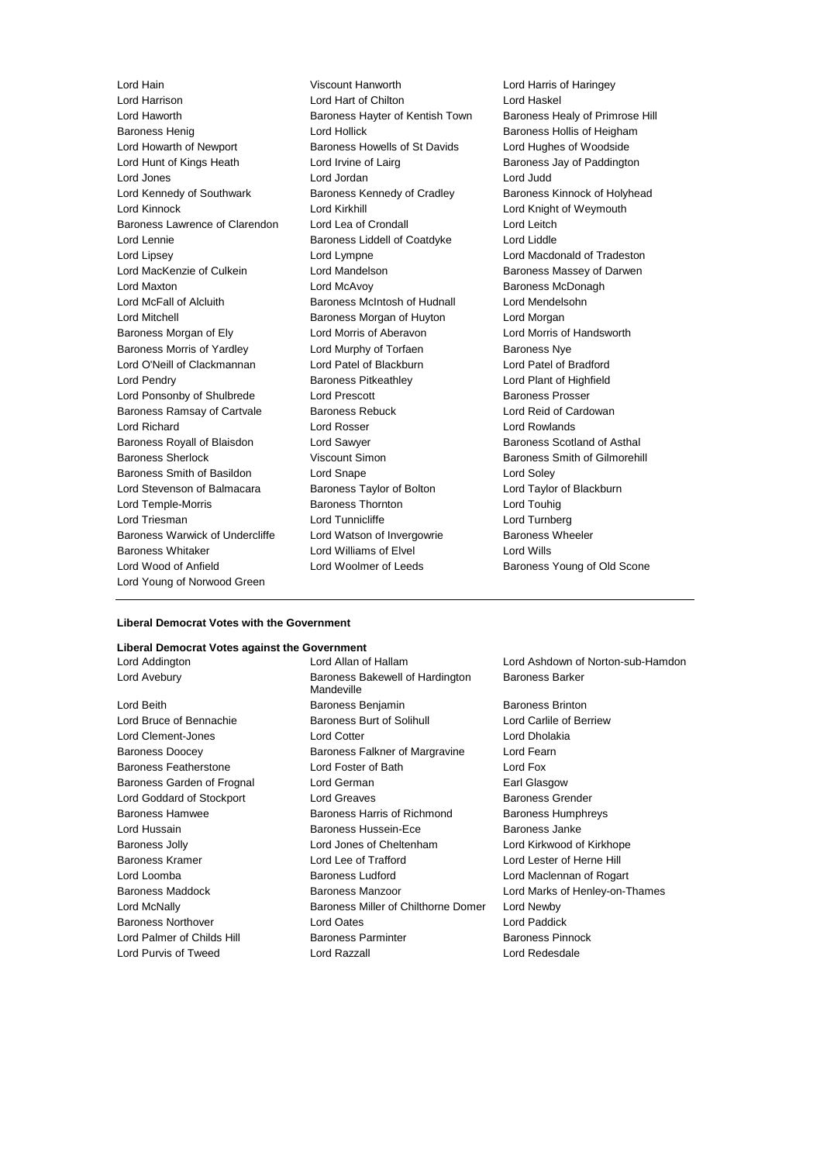Lord Harrison Lord Hart of Chilton Lord Haskel Lord Haworth Baroness Hayter of Kentish Town Baroness Healy of Primrose Hill Baroness Henig **Exercise Set Access** Lord Hollick **Baroness Hollis of Heigham** Lord Howarth of Newport **Baroness Howells of St Davids** Lord Hughes of Woodside Lord Hunt of Kings Heath Lord Irvine of Lairg **Baroness Jay of Paddington** Lord Jones Lord Jordan Lord Judd Lord Kennedy of Southwark Baroness Kennedy of Cradley Baroness Kinnock of Holyhead Lord Kinnock **Lord Kirkhill** Lord Kirkhill **Lord Kirkhill** Lord Knight of Weymouth Baroness Lawrence of Clarendon Lord Lea of Crondall Lord Leitch Lord Lennie Baroness Liddell of Coatdyke Lord Liddle Lord Lipsey Lord Lympne Lord Macdonald of Tradeston Lord MacKenzie of Culkein **Lord Mandelson** Baroness Massey of Darwen Lord Maxton **Lord McAvoy Baroness McDonagh** Lord McFall of Alcluith Baroness McIntosh of Hudnall Lord Mendelsohn Lord Mitchell **Baroness Morgan of Huyton** Lord Morgan Lord Morgan Baroness Morgan of Ely Lord Morris of Aberavon Lord Morris of Handsworth Baroness Morris of Yardley Lord Murphy of Torfaen Baroness Nye Lord O'Neill of Clackmannan Lord Patel of Blackburn Lord Patel of Bradford Lord Pendry Baroness Pitkeathley Lord Plant of Highfield Lord Ponsonby of Shulbrede Lord Prescott **Baroness Prosser** Baroness Ramsay of Cartvale Baroness Rebuck Lord Reid of Cardowan Lord Richard Lord Rosser Lord Rowlands Baroness Royall of Blaisdon Lord Sawyer **Baroness Scotland of Asthal** Baroness Sherlock **Viscount Simon** Baroness Smith of Gilmorehill Baroness Smith of Basildon Lord Snape Lord Soley Lord Stevenson of Balmacara Baroness Taylor of Bolton Lord Taylor of Blackburn Lord Temple-Morris Baroness Thornton Lord Touhig Lord Triesman **Lord Turnberg** Lord Turnberg Lord Turnberg Lord Turnberg Baroness Warwick of Undercliffe Lord Watson of Invergowrie Baroness Wheeler Baroness Whitaker Lord Williams of Elvel Lord Wills Lord Wood of Anfield **Lord Woolmer of Leeds** Baroness Young of Old Scone Lord Young of Norwood Green

Lord Hain Viscount Hanworth Lord Harris of Haringey

### **Liberal Democrat Votes with the Government**

### **Liberal Democrat Votes against the Government**

Lord Avebury **Baroness Bakewell of Hardington** Mandeville Lord Beith Baroness Benjamin Baroness Brinton Lord Bruce of Bennachie **Baroness Burt of Solihull** Lord Carlile of Berriew Lord Clement-Jones Lord Cotter Lord Cotter Lord Cotter Lord Dholakia Baroness Doocey Baroness Falkner of Margravine Lord Fearn Baroness Featherstone Lord Foster of Bath Lord Fox Baroness Garden of Frognal Lord German **Earl Glasgow** Earl Glasgow Lord Goddard of Stockport **Lord Greaves Baroness Grender** Baroness Hamwee Baroness Harris of Richmond Baroness Humphreys Lord Hussain Baroness Hussein-Ece Baroness Janke Baroness Jolly Lord Jones of Cheltenham Lord Kirkwood of Kirkhope Baroness Kramer Lord Lee of Trafford Lord Lester of Herne Hill Lord Loomba **Baroness Ludford Baroness Ludford Lord Maclennan of Rogart** Baroness Maddock **Baroness Manzoor** Lord Marks of Henley-on-Thames Lord McNally Baroness Miller of Chilthorne Domer Lord Newby Baroness Northover Lord Oates Lord Paddick Lord Palmer of Childs Hill **Baroness Parminter** Baroness Parminter Baroness Pinnock Lord Purvis of Tweed Lord Razzall Lord Redesdale

Lord Addington Lord Allan of Hallam Lord Ashdown of Norton-sub-Hamdon Baroness Barker